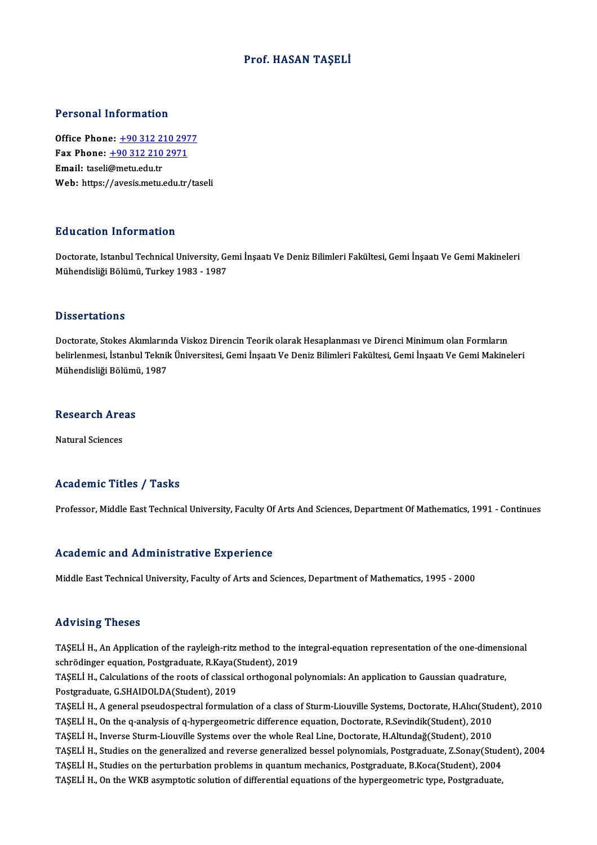### Prof. HASAN TAŞELİ

#### Personal Information

Office Phone: +90 312 210 2977 1 0100111 11101 1111011<br>
0ffice Phone: <u>+90 312 210 2971</u><br>
Fmail: taceli@matu.edu.tr Office Phone: <u>+90 312 22</u><br>Fax Phone: <u>+90 312 210</u><br>Email: taseli@metu.edu.tr Fax Phone: <u>+90 312 210 2971</u><br>Email: taseli@metu.edu.tr<br>Web: https:/[/avesis.metu.edu.tr](tel:+90 312 210 2971)[/ta](tel:+90 312 210 2977)seli

#### Education Information

Education Information<br>Doctorate, Istanbul Technical University, Gemi İnşaatı Ve Deniz Bilimleri Fakültesi, Gemi İnşaatı Ve Gemi Makineleri<br>Mühandisliği Bölümü, Turkey 1982, 1987 24 deatrem miner matrem<br>Doctorate, Istanbul Technical University, Ge<br>Mühendisliği Bölümü, Turkey 1983 - 1987 Mühendisliği Bölümü, Turkey 1983 - 1987<br>Dissertations

Doctorate, Stokes Akımlarında Viskoz Direncin Teorik olarak Hesaplanması ve Direnci Minimum olan Formların Babbel tatron.<br>Doctorate, Stokes Akımlarında Viskoz Direncin Teorik olarak Hesaplanması ve Direnci Minimum olan Formların<br>Mühandialiği Bölümü, 1997 Doctorate, Stokes Akımlarını<br>belirlenmesi, İstanbul Teknil<br>Mühendisliği Bölümü, 1987

# Munenaisiigi Bolumi<br>Research Areas <mark>Research Are</mark><br>Natural Sciences

# Natural Sciences<br>Academic Titles / Tasks

Professor, Middle East Technical University, Faculty Of Arts And Sciences, Department Of Mathematics, 1991 - Continues

#### Academic and Administrative Experience

Middle East Technical University, Faculty of Arts and Sciences, Department of Mathematics, 1995 - 2000

#### Advising Theses

Advising Theses<br>TAŞELİ H., An Application of the rayleigh-ritz method to the integral-equation representation of the one-dimensional<br>Sehrädinger equation Pestaraduate P.Kava(Student), 2019 sca vienty<br>TAŞELİ H., An Application of the rayleigh-ritz method to the i<br>schrödinger equation, Postgraduate, R.Kaya(Student), 2019<br>TASELİ H., Colculations of the rests of classical orthogonal n TAŞELİ H., An Application of the rayleigh-ritz method to the integral-equation representation of the one-dimens<br>schrödinger equation, Postgraduate, R.Kaya(Student), 2019<br>TAŞELİ H., Calculations of the roots of classical or

schrödinger equation, Postgraduate, R.Kaya(Student), 2019<br>TAŞELİ H., Calculations of the roots of classical orthogonal polynomials: An application to Gaussian quadrature,<br>Postgraduate, G.SHAIDOLDA(Student), 2019

TAŞELİ H., A general pseudospectral formulation of a class of Sturm-Liouville Systems, Doctorate, H.Alıcı(Student), 2010 Postgraduate, G.SHAIDOLDA(Student), 2019<br>TAŞELİ H., A general pseudospectral formulation of a class of Sturm-Liouville Systems, Doctorate, H.Alıcı(Stu<br>TAŞELİ H., On the q-analysis of q-hypergeometric difference equation, D TAŞELİ H., A general pseudospectral formulation of a class of Sturm-Liouville Systems, Doctorate, H.Alıcı(Stu<br>TAŞELİ H., On the q-analysis of q-hypergeometric difference equation, Doctorate, R.Sevindik(Student), 2010<br>TAŞEL TAŞELİ H., On the q-analysis of q-hypergeometric difference equation, Doctorate, R.Sevindik(Student), 2010<br>TAŞELİ H., Inverse Sturm-Liouville Systems over the whole Real Line, Doctorate, H.Altundağ(Student), 2010<br>TAŞELİ H. TAŞELİ H., Inverse Sturm-Liouville Systems over the whole Real Line, Doctorate, H.Altundağ(Student), 2010<br>TAŞELİ H., Studies on the generalized and reverse generalized bessel polynomials, Postgraduate, Z.Sonay(Stude<br>TAŞELİ TAŞELİ H., Studies on the generalized and reverse generalized bessel polynomials, Postgraduate, Z.Sonay(Stud<br>TAŞELİ H., Studies on the perturbation problems in quantum mechanics, Postgraduate, B.Koca(Student), 2004<br>TAŞELİ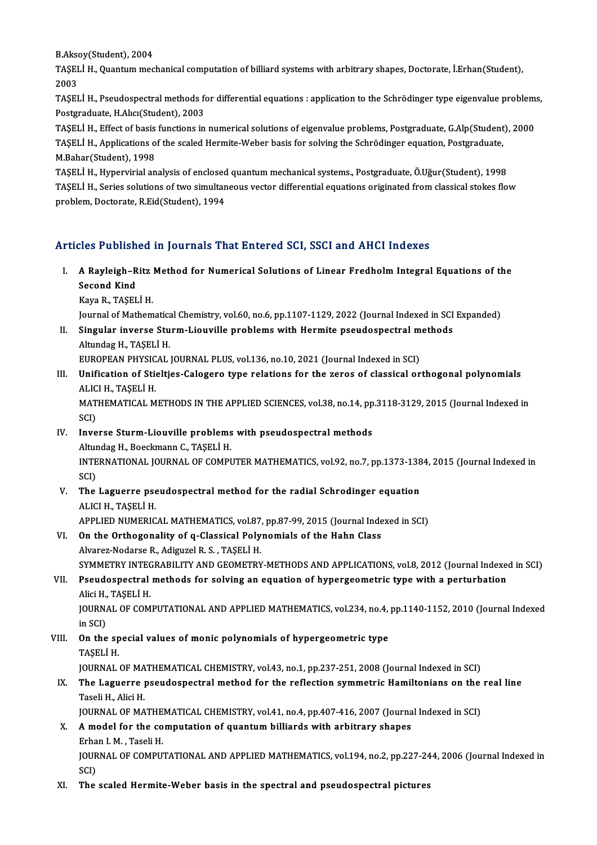B.Aksoy(Student), 2004<br>TASELLH, Quantum mag

TAŞELİ H., Quantum mechanical computation of billiard systems with arbitrary shapes, Doctorate, İ.Erhan(Student),<br>2003 **B.Akso<br>TAŞEI<br>2003<br>TASEI** TAŞELİ H., Quantum mechanical computation of billiard systems with arbitrary shapes, Doctorate, İ.Erhan(Student),<br>2003<br>TAŞELİ H., Pseudospectral methods for differential equations : application to the Schrödinger type eige

2003<br>TAŞELİ H., Pseudospectral methods fo<br>Postgraduate, H.Alıcı(Student), 2003<br>TASELİ H., Effect of basis functions in TAŞELİ H., Pseudospectral methods for differential equations : application to the Schrödinger type eigenvalue problem:<br>Postgraduate, H.Alıcı(Student), 2003<br>TAŞELİ H., Effect of basis functions in numerical solutions of eig

Postgraduate, H.Alıcı(Student), 2003<br>TAŞELİ H., Effect of basis functions in numerical solutions of eigenvalue problems, Postgraduate, G.Alp(Student<br>TAŞELİ H., Applications of the scaled Hermite-Weber basis for solving the TAŞELİ H., Effect of basis<br>TAŞELİ H., Applications o<br>M.Bahar(Student), 1998<br>TASELİ H., Hunoruirial an

M.Bahar (Student), 1998<br>TASELİ H., Hypervirial analysis of enclosed quantum mechanical systems., Postgraduate, Ö.Uğur (Student), 1998 M.Bahar(Student), 1998<br>TAŞELİ H., Hypervirial analysis of enclosed quantum mechanical systems., Postgraduate, Ö.Uğur(Student), 1998<br>TAŞELİ H., Series solutions of two simultaneous vector differential equations originated f TAŞELİ H., Hypervirial analysis of enclosed<br>TAŞELİ H., Series solutions of two simultan<br>problem, Doctorate, R.Eid(Student), 1994

# Articles Published in Journals That Entered SCI, SSCI and AHCI Indexes

- rticles Published in Journals That Entered SCI, SSCI and AHCI Indexes<br>I. A Rayleigh–Ritz Method for Numerical Solutions of Linear Fredholm Integral Equations of the<br>Second Kind A Rayleigh–R<br>Second Kind<br>Kaya B. TASEL A Rayleigh-Ritz<br>Second Kind<br>Kaya R., TAŞELİ H.<br>Journal of Matham Second Kind<br>Kaya R., TAŞELİ H.<br>Journal of Mathematical Chemistry, vol.60, no.6, pp.1107-1129, 2022 (Journal Indexed in SCI Expanded)
	-

Kaya R., TAŞELİ H.<br>Journal of Mathematical Chemistry, vol.60, no.6, pp.1107-1129, 2022 (Journal Indexed in SCI<br>II. Singular inverse Sturm-Liouville problems with Hermite pseudospectral methods<br>Altundes H. TASELİ H. Journal of Mathematic<mark>a</mark><br>Singular inverse Stu<br>Altundag H., TAŞELİ H.<br>FUROPEAN PHYSICAL Singular inverse Sturm-Liouville problems with Hermite pseudospectral m<br>Altundag H., TAŞELİ H.<br>EUROPEAN PHYSICAL JOURNAL PLUS, vol.136, no.10, 2021 (Journal Indexed in SCI)<br>Unification of Stielties Calegare type relations

Altundag H., TAŞELİ H.<br>EUROPEAN PHYSICAL JOURNAL PLUS, vol.136, no.10, 2021 (Journal Indexed in SCI)<br>III. Unification of Stieltjes-Calogero type relations for the zeros of classical orthogonal polynomials<br>ALICLH TASELİ H EUROPEAN PHYSIC<br>Unification of Stie<br>ALICI H., TAŞELİ H.<br>MATUEMATICAL M Unification of Stieltjes-Calogero type relations for the zeros of classical orthogonal polynomials<br>ALICI H., TAȘELİ H.<br>MATHEMATICAL METHODS IN THE APPLIED SCIENCES, vol.38, no.14, pp.3118-3129, 2015 (Journal Indexed in<br>SCD

ALIC<br>MAT<br>SCI)<br>Inve MATHEMATICAL METHODS IN THE APPLIED SCIENCES, vol.38, no.14, pp<br>SCI)<br>IV. Inverse Sturm-Liouville problems with pseudospectral methods<br>Altundag H. Booglimann C. TASELLH

- SCI)<br>Inverse Sturm-Liouville problems<br>Altundag H., Boeckmann C., TAŞELİ H.<br>INTERNATIONAL JOURNAL OE COMPL Inverse Sturm-Liouville problems with pseudospectral methods<br>Altundag H., Boeckmann C., TAŞELİ H.<br>INTERNATIONAL JOURNAL OF COMPUTER MATHEMATICS, vol.92, no.7, pp.1373-1384, 2015 (Journal Indexed in<br>SCD Altur<br>INTE<br>SCI)<br>The INTERNATIONAL JOURNAL OF COMPUTER MATHEMATICS, vol.92, no.7, pp.1373-138<br>SCI)<br>V. The Laguerre pseudospectral method for the radial Schrodinger equation<br>ALICLH TASELLH
- SCI)<br>The Laguerre pse<br>ALICI H., TAŞELİ H.<br>APRLIED NUMERIC The Laguerre pseudospectral method for the radial Schrodinger equation<br>ALICI H., TAŞELİ H.<br>APPLIED NUMERICAL MATHEMATICS, vol.87, pp.87-99, 2015 (Journal Indexed in SCI)<br>On the Orthogonality of a Glassical Belynomials of t
- ALICI H., TAȘELI H.<br>APPLIED NUMERICAL MATHEMATICS, vol.87, pp.87-99, 2015 (Journal Inde<br>VI. On the Orthogonality of q-Classical Polynomials of the Hahn Class<br>Alvance Nodonee B. Adigural B. S. TASELLY APPLIED NUMERICAL MATHEMATICS, vol.87,<br>On the Orthogonality of q-Classical Poly<br>Alvarez-Nodarse R., Adiguzel R. S. , TAŞELİ H.<br>SYMMETPY INTECRABILITY AND CEOMETPY On the Orthogonality of q-Classical Polynomials of the Hahn Class<br>Alvarez-Nodarse R., Adiguzel R. S. , TAŞELİ H.<br>SYMMETRY INTEGRABILITY AND GEOMETRY-METHODS AND APPLICATIONS, vol.8, 2012 (Journal Indexed in SCI)<br>Beaudespec Alvarez-Nodarse R., Adiguzel R. S. , TAŞELİ H.<br>SYMMETRY INTEGRABILITY AND GEOMETRY-METHODS AND APPLICATIONS, vol.8, 2012 (Journal Indexed<br>VII. Pseudospectral methods for solving an equation of hypergeometric type with a pe

# SYMMETRY INTE<mark>C</mark><br>Pseudospectral<br>Alici H., TAŞELİ H.<br>JOUPNAL OF COM Pseudospectral methods for solving an equation of hypergeometric type with a perturbation<br>Alici H., TAŞELİ H.<br>JOURNAL OF COMPUTATIONAL AND APPLIED MATHEMATICS, vol.234, no.4, pp.1140-1152, 2010 (Journal Indexed<br>in SCD

Alici H.,<br>JOURNA<br>in SCI)<br>On the JOURNAL OF COMPUTATIONAL AND APPLIED MATHEMATICS, vol.234, no.4,<br>in SCI)<br>VIII. On the special values of monic polynomials of hypergeometric type<br>TASELLH

# in SCI)<br>**On the sp<br>TAŞELİ H.**<br>JOUPNAL TAŞELİ H.<br>JOURNAL OF MATHEMATICAL CHEMISTRY, vol.43, no.1, pp.237-251, 2008 (Journal Indexed in SCI)

## TAŞELİ H.<br>JOURNAL OF MATHEMATICAL CHEMISTRY, vol.43, no.1, pp.237-251, 2008 (Journal Indexed in SCI)<br>IX. The Laguerre pseudospectral method for the reflection symmetric Hamiltonians on the real line<br>Taseli H. Alisi H. JOURNAL OF MA<br><mark>The Laguerre <sub>l</sub><br>Taseli H., Alici H.</mark><br>JOURNAL OF MA The Laguerre pseudospectral method for the reflection symmetric Hamiltonians on the<br>Taseli H., Alici H.<br>JOURNAL OF MATHEMATICAL CHEMISTRY, vol.41, no.4, pp.407-416, 2007 (Journal Indexed in SCI)<br>A model for the computation

## Taseli H., Alici H.<br>JOURNAL OF MATHEMATICAL CHEMISTRY, vol.41, no.4, pp.407-416, 2007 (Journa<br>X. A model for the computation of quantum billiards with arbitrary shapes<br>Frhan J. M. Taseli H. **JOURNAL OF MATHE<br>A model for the co<br>Erhan I. M. , Taseli H.<br>JOUPNAL OF COMPLE** A model for the computation of quantum billiards with arbitrary shapes<br>Erhan I. M. , Taseli H.<br>JOURNAL OF COMPUTATIONAL AND APPLIED MATHEMATICS, vol.194, no.2, pp.227-244, 2006 (Journal Indexed in<br>SCD

Erha<br>JOUR<br>SCI)<br>The JOURNAL OF COMPUTATIONAL AND APPLIED MATHEMATICS, vol.194, no.2, pp.227-24<br>SCI)<br>XI. The scaled Hermite-Weber basis in the spectral and pseudospectral pictures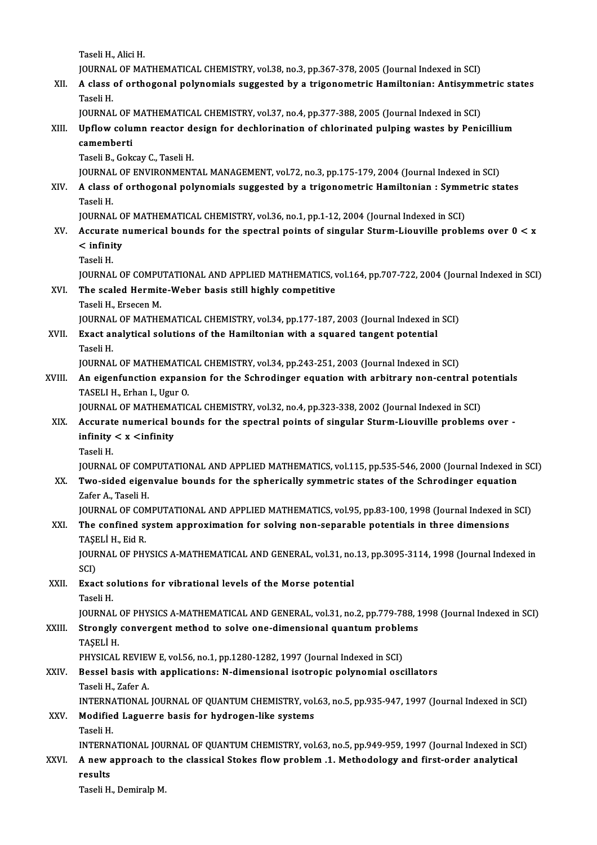Taseli H., Alici H.

Taseli H., Alici H.<br>JOURNAL OF MATHEMATICAL CHEMISTRY, vol.38, no.3, pp.367-378, 2005 (Journal Indexed in SCI)<br>A slage of arthogonal polynomials suggested by a trigonometric Hamiltonian: Artisumm

XII. A class of orthogonal polynomials suggested by a trigonometric Hamiltonian: Antisymmetric states<br>Taseli H. JOURNA<mark>I</mark><br>A class<br>Taseli H.<br>JOURNAI A class of orthogonal polynomials suggested by a trigonometric Hamiltonian: Antisymm<br>Taseli H.<br>JOURNAL OF MATHEMATICAL CHEMISTRY, vol.37, no.4, pp.377-388, 2005 (Journal Indexed in SCI)<br>Unflow solumn reaster design for des

Taseli H.<br>JOURNAL OF MATHEMATICAL CHEMISTRY, vol.37, no.4, pp.377-388, 2005 (Journal Indexed in SCI)<br>XIII. Upflow column reactor design for dechlorination of chlorinated pulping wastes by Penicillium<br>comemberti JOURNAL OF<br>Upflow colu<br>camemberti<br>Tasoli B. Colu Upflow column reactor d<mark>e</mark><br>camemberti<br>Taseli B., Gokcay C., Taseli H.<br>JOUPNAL OF ENVIRONMENT camemberti<br>Taseli B., Gokcay C., Taseli H.<br>JOURNAL OF ENVIRONMENTAL MANAGEMENT, vol.72, no.3, pp.175-179, 2004 (Journal Indexed in SCI)<br>A slass of orthogonal polynomials suggested by a trigonometric Hamiltonian : Symmetris

Taseli B., Gokcay C., Taseli H.<br>JOURNAL OF ENVIRONMENTAL MANAGEMENT, vol.72, no.3, pp.175-179, 2004 (Journal Indexed in SCI)<br>XIV. A class of orthogonal polynomials suggested by a trigonometric Hamiltonian : Symmetric s JOURNA<mark>I</mark><br>A class<br>Taseli H.<br>JOURNAI A class of orthogonal polynomials suggested by a trigonometric Hamiltonian : Symm<br>Taseli H.<br>JOURNAL OF MATHEMATICAL CHEMISTRY, vol.36, no.1, pp.1-12, 2004 (Journal Indexed in SCI)<br>Accurate numerical bounds for the spectral

### Taseli H.<br>JOURNAL OF MATHEMATICAL CHEMISTRY, vol.36, no.1, pp.1-12, 2004 (Journal Indexed in SCI)<br>XV. Accurate numerical bounds for the spectral points of singular Sturm-Liouville problems over 0 < x<br>< infinity JOURNAL O<br>Accurate 1<br>< infinity<br>Tasali H Accurat<br>< infini<br>Taseli H.<br>IOUPMAI < infinity<br>Taseli H.<br>JOURNAL OF COMPUTATIONAL AND APPLIED MATHEMATICS, vol.164, pp.707-722, 2004 (Journal Indexed in SCI)<br>The ssaled Hermite Weber besis still bishly competitive

**JOURNAL OF COMPU<br>The scaled Hermit<br>Taseli H., Ersecen M.<br>JOUPNAL OF MATUE** 

# Taseli H.<br>JOURNAL OF COMPUTATIONAL AND APPLIED MATHEMATICS,<br>XVI. The scaled Hermite-Weber basis still highly competitive<br>Taseli H., Ersecen M.

The scaled Hermite-Weber basis still highly competitive<br>Taseli H., Ersecen M.<br>JOURNAL OF MATHEMATICAL CHEMISTRY, vol.34, pp.177-187, 2003 (Journal Indexed in SCI)<br>Exact analytical solutions of the Hamiltonian with a square

Taseli H., Ersecen M.<br>JOURNAL OF MATHEMATICAL CHEMISTRY, vol.34, pp.177-187, 2003 (Journal Indexed in<br>XVII. Exact analytical solutions of the Hamiltonian with a squared tangent potential<br>Teseli H JOURNA<mark>I</mark><br>Exact ar<br>Taseli H.<br>IOURNAI Exact analytical solutions of the Hamiltonian with a squared tangent potential<br>Taseli H.<br>JOURNAL OF MATHEMATICAL CHEMISTRY, vol.34, pp.243-251, 2003 (Journal Indexed in SCI)<br>An eigenfunction expansion for the Schredinger c

## Taseli H.<br>JOURNAL OF MATHEMATICAL CHEMISTRY, vol.34, pp.243-251, 2003 (Journal Indexed in SCI)<br>XVIII. An eigenfunction expansion for the Schrodinger equation with arbitrary non-central potentials<br>TASELLH, Erban L. Haur **JOURNAL OF MATHEMATIC<br>An eigenfunction expans<br>TASELI H., Erhan I., Ugur O.**<br>JOUPNAL OF MATHEMATIC An eigenfunction expansion for the Schrodinger equation with arbitrary non-central po<br>TASELI H., Erhan I., Ugur O.<br>JOURNAL OF MATHEMATICAL CHEMISTRY, vol.32, no.4, pp.323-338, 2002 (Journal Indexed in SCI)<br>Accurate numeric

### TASELI H., Erhan I., Ugur O.<br>JOURNAL OF MATHEMATICAL CHEMISTRY, vol.32, no.4, pp.323-338, 2002 (Journal Indexed in SCI)<br>XIX. Accurate numerical bounds for the spectral points of singular Sturm-Liouville problems over -JOURNAL OF MATHEMA<br>Accurate numerical b<br>infinity < x <infinity<br>Taseli H XIX. Accurate numerical bounds for the spectral points of singular Sturm-Liouville problems over -<br>infinity  $\lt x \lt \text{infinity}$ <br>Taseli H. infinity < x <infinity<br>Taseli H.<br>JOURNAL OF COMPUTATIONAL AND APPLIED MATHEMATICS, vol.115, pp.535-546, 2000 (Journal Indexed in SCI)<br>Ture sided eigenvolue hounds for the sphericelly symmetric states of the Schredinger equ

### Taseli H.<br>JOURNAL OF COMPUTATIONAL AND APPLIED MATHEMATICS, vol.115, pp.535-546, 2000 (Journal Indexed in<br>XX. Two-sided eigenvalue bounds for the spherically symmetric states of the Schrodinger equation<br>Zefor A. Teseli JOURNAL OF COM<br><mark>Two-sided eigei</mark><br>Zafer A., Taseli H.<br>JOUPNAL OF COM Two-sided eigenvalue bounds for the spherically symmetric states of the Schrodinger equation<br>Zafer A., Taseli H.<br>JOURNAL OF COMPUTATIONAL AND APPLIED MATHEMATICS, vol.95, pp.83-100, 1998 (Journal Indexed in SCI)<br>The confin Xafer A., Taseli H.<br>JOURNAL OF COMPUTATIONAL AND APPLIED MATHEMATICS, vol.95, pp.83-100, 1998 (Journal Indexed in<br>XXI. The confined system approximation for solving non-separable potentials in three dimensions<br>TASELLH,

# JOURNAL OF COM<br>The confined st<br>TAŞELİ H., Eid R.<br>JOUPNAL OF PHY

The confined system approximation for solving non-separable potentials in three dimensions<br>TAŞELİ H., Eid R.<br>JOURNAL OF PHYSICS A-MATHEMATICAL AND GENERAL, vol.31, no.13, pp.3095-3114, 1998 (Journal Indexed in<br>SCD TAȘE<br>JOUR<br>SCI)<br>Evac JOURNAL OF PHYSICS A-MATHEMATICAL AND GENERAL, vol.31, no.<br>SCI)<br>XXII. Exact solutions for vibrational levels of the Morse potential<br>Taseli H

SCI)<br><mark>Exact so</mark><br>Taseli H.<br>JOUPNAI Exact solutions for vibrational levels of the Morse potential<br>Taseli H.<br>JOURNAL OF PHYSICS A-MATHEMATICAL AND GENERAL, vol.31, no.2, pp.779-788, 1998 (Journal Indexed in SCI)<br>Strongly convergent method to solve ane dimensi

### Taseli H.<br>JOURNAL OF PHYSICS A-MATHEMATICAL AND GENERAL, vol.31, no.2, pp.779-788, 1<br>XXIII. Strongly convergent method to solve one-dimensional quantum problems<br>TASELI H. JOURNAL<br><mark>Strongly</mark><br>TAŞELİ H.<br>PHYSICAL Strongly convergent method to solve one-dimensional quantum proble<br>TAŞELİ H.<br>PHYSICAL REVIEW E, vol.56, no.1, pp.1280-1282, 1997 (Journal Indexed in SCI)<br>Pessel basis with applications: N dimensional isotropis polynomial o

### XXIV. Bessel basis with applications: N-dimensional isotropic polynomial oscillators<br>Taseli H., Zafer A. PHYSICAL REVIE<mark><br>Bessel basis wit</mark><br>Taseli H., Zafer A.<br>INTERNATIONAL Bessel basis with applications: N-dimensional isotropic polynomial oscillators<br>Taseli H., Zafer A.<br>INTERNATIONAL JOURNAL OF QUANTUM CHEMISTRY, vol.63, no.5, pp.935-947, 1997 (Journal Indexed in SCI)<br>Medified Leguerre basis

### XXV. Modified Laguerre basis for hydrogen-like systems INTERNA<br>Modifie<br>Taseli H.<br>INTERNA

Modified Laguerre basis for hydrogen-like systems<br>Taseli H.<br>INTERNATIONAL JOURNAL OF QUANTUM CHEMISTRY, vol.63, no.5, pp.949-959, 1997 (Journal Indexed in SCI)<br>A new annuageb to the classical Stekes flow nuchlom, 1. Method

Taseli H.<br>INTERNATIONAL JOURNAL OF QUANTUM CHEMISTRY, vol.63, no.5, pp.949-959, 1997 (Journal Indexed in SC<br>XXVI. A new approach to the classical Stokes flow problem .1. Methodology and first-order analytical<br>Results INTERN.<br>A new a<br>results<br>Teseli H A new approach to the classical Stokes flow problem .1. Methodology and first-order analytical results<br>results<br>Taseli H., Demiralp M.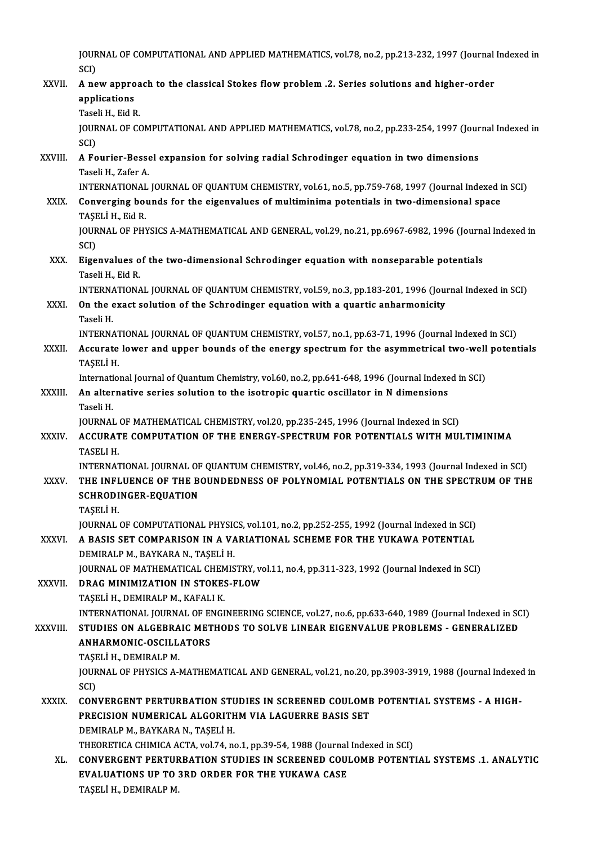JOURNAL OF COMPUTATIONAL AND APPLIED MATHEMATICS, vol.78, no.2, pp.213-232, 1997 (Journal Indexed in<br>SCD JOUR<br>SCI)<br>A.no

### JOURNAL OF COMPUTATIONAL AND APPLIED MATHEMATICS, vol.78, no.2, pp.213-232, 1997 (Journal<br>SCI)<br>XXVII. A new approach to the classical Stokes flow problem .2. Series solutions and higher-order<br>annisotions SCI)<br>A new appro<br>applications<br>Tageli H Eid B A new approa<br>applications<br>Taseli H., Eid R.<br>JOUPNAL OF CC applications<br>Taseli H., Eid R.<br>JOURNAL OF COMPUTATIONAL AND APPLIED MATHEMATICS, vol.78, no.2, pp.233-254, 1997 (Journal Indexed in<br>SCD Tase<br>JOUR<br>SCI)<br>A Es JOURNAL OF COMPUTATIONAL AND APPLIED MATHEMATICS, vol.78, no.2, pp.233-254, 1997 (Jour<br>SCI)<br>XXVIII. A Fourier-Bessel expansion for solving radial Schrodinger equation in two dimensions<br>Teceli H. Zafor A SCI)<br>A Fourier-Besse<br>Taseli H., Zafer A.<br>INTERNATIONAL A Fourier-Bessel expansion for solving radial Schrodinger equation in two dimensions<br>Taseli H., Zafer A.<br>INTERNATIONAL JOURNAL OF QUANTUM CHEMISTRY, vol.61, no.5, pp.759-768, 1997 (Journal Indexed in SCI)<br>Converging bounds Taseli H., Zafer A.<br>INTERNATIONAL JOURNAL OF QUANTUM CHEMISTRY, vol.61, no.5, pp.759-768, 1997 (Journal Indexed i<br>XXIX. Converging bounds for the eigenvalues of multiminima potentials in two-dimensional space<br>TASELLY EGA B INTERNATIONAL<br>Converging bot<br>TAŞELİ H., Eid R.<br>IOUPNAL OF PHY Converging bounds for the eigenvalues of multiminima potentials in two-dimensional space<br>TAŞELİ H., Eid R.<br>JOURNAL OF PHYSICS A-MATHEMATICAL AND GENERAL, vol.29, no.21, pp.6967-6982, 1996 (Journal Indexed in<br>SCD TAȘE<br>JOUR<br>SCI)<br>Fige JOURNAL OF PHYSICS A-MATHEMATICAL AND GENERAL, vol.29, no.21, pp.6967-6982, 1996 (Journal Schrodinger equation with nonseparable potentials Tecali H. Eid P. SCI)<br><mark>Eigenvalues o</mark><br>Taseli H., Eid R.<br>INTERNATIONA Taseli H., Eid R.<br>INTERNATIONAL JOURNAL OF QUANTUM CHEMISTRY, vol.59, no.3, pp.183-201, 1996 (Journal Indexed in SCI) Taseli H., Eid R.<br>INTERNATIONAL JOURNAL OF QUANTUM CHEMISTRY, vol.59, no.3, pp.183-201, 1996 (Journal XXXI.<br>XXXI. On the exact solution of the Schrodinger equation with a quartic anharmonicity INTERNA<br>**On the e**<br>Taseli H.<br>INTERNA On the exact solution of the Schrodinger equation with a quartic anharmonicity<br>Taseli H.<br>INTERNATIONAL JOURNAL OF QUANTUM CHEMISTRY, vol.57, no.1, pp.63-71, 1996 (Journal Indexed in SCI)<br>Accurate lower and unner bounds of Taseli H.<br>INTERNATIONAL JOURNAL OF QUANTUM CHEMISTRY, vol.57, no.1, pp.63-71, 1996 (Journal Indexed in SCI)<br>XXXII. Accurate lower and upper bounds of the energy spectrum for the asymmetrical two-well potentials<br>TASELLH INTERNAT<br>Accurate<br>TAŞELİ H.<br>Internatio Accurate lower and upper bounds of the energy spectrum for the asymmetrical two-well<br>TAŞELİ H.<br>International Journal of Quantum Chemistry, vol.60, no.2, pp.641-648, 1996 (Journal Indexed in SCI)<br>An alternative series solut TAŞELİ H.<br>International Journal of Quantum Chemistry, vol.60, no.2, pp.641-648, 1996 (Journal Indexe<br>XXXIII. An alternative series solution to the isotropic quartic oscillator in N dimensions<br>Teceli H Internat<mark>i</mark><br>An alter<br>Taseli H.<br>IOUPNAI An alternative series solution to the isotropic quartic oscillator in N dimensions<br>Taseli H.<br>JOURNAL OF MATHEMATICAL CHEMISTRY, vol.20, pp.235-245, 1996 (Journal Indexed in SCI)<br>ACCURATE COMBUTATION OF THE ENERCY SPECTRUM Taseli H.<br>JOURNAL OF MATHEMATICAL CHEMISTRY, vol.20, pp.235-245, 1996 (Journal Indexed in SCI)<br>XXXIV. ACCURATE COMPUTATION OF THE ENERGY-SPECTRUM FOR POTENTIALS WITH MULTIMINIMA<br>TASELI H. JOURNAL<br><mark>ACCURAT</mark><br>TASELI H.<br>INTERNAT ACCURATE COMPUTATION OF THE ENERGY-SPECTRUM FOR POTENTIALS WITH MULTIMINIMA<br>TASELI H.<br>INTERNATIONAL JOURNAL OF QUANTUM CHEMISTRY, vol.46, no.2, pp.319-334, 1993 (Journal Indexed in SCI)<br>THE INELUENCE OF THE POUNDEDNESS OF TASELI H.<br>INTERNATIONAL JOURNAL OF QUANTUM CHEMISTRY, vol.46, no.2, pp.319-334, 1993 (Journal Indexed in SCI)<br>XXXV. THE INFLUENCE OF THE BOUNDEDNESS OF POLYNOMIAL POTENTIALS ON THE SPECTRUM OF THE<br>SCHRODINGER FOUATION INTERNATIONAL JOURNAL OF<br>THE INFLUENCE OF THE B<br>SCHRODINGER-EQUATION<br>TASELLH THE INFLUENCE OF THE BOUNDEDNESS OF POLYNOMIAL POTENTIALS ON THE SPECTRUM OF THE SCHRODINGER-EQUATION<br>SCHRODINGER-EQUATION<br>TASELİ H. SCHRODINGER-EQUATION<br>TAŞELİ H.<br>JOURNAL OF COMPUTATIONAL PHYSICS, vol.101, no.2, pp.252-255, 1992 (Journal Indexed in SCI)<br>A BASIS SET COMPARISON IN A VARIATIONAL SCUEME EOR THE VUKAWA POTENTIAL XXXVI. A BASIS SET COMPARISON IN A VARIATIONAL SCHEME FOR THE YUKAWA POTENTIAL<br>DEMIRALP M., BAYKARA N., TAŞELİ H. JOURNAL OF COMPUTATIONAL PHYSI<mark>A BASIS SET COMPARISON IN A V*A*<br>DEMIRALP M., BAYKARA N., TAŞELİ H.<br>JOURNAL OF MATHEMATICAL CHEMIS</mark> A BASIS SET COMPARISON IN A VARIATIONAL SCHEME FOR THE YUKAWA POTENTIAL<br>DEMIRALP M., BAYKARA N., TAŞELİ H.<br>JOURNAL OF MATHEMATICAL CHEMISTRY, vol.11, no.4, pp.311-323, 1992 (Journal Indexed in SCI)<br>PRAC MINIMIZATION IN STO DEMIRALP M., BAYKARA N., TAŞELİ H.<br>JOURNAL OF MATHEMATICAL CHEMISTRY, vc<br>XXXVII. BRAG MINIMIZATION IN STOKES-FLOW DRAG MINIMIZATION IN STOKES-FLOW<br>TAŞELİ H., DEMIRALP M., KAFALI K. DRAG MINIMIZATION IN STOKES-FLOW<br>TAŞELİ H., DEMIRALP M., KAFALI K.<br>INTERNATIONAL JOURNAL OF ENGINEERING SCIENCE, vol.27, no.6, pp.633-640, 1989 (Journal Indexed in SCI)<br>STUDIES ON ALGERRAIC METHODS TO SOLVE LINEAR EIGENVAL TAŞELİ H., DEMIRALP M., KAFALI K.<br>INTERNATIONAL JOURNAL OF ENGINEERING SCIENCE, vol.27, no.6, pp.633-640, 1989 (Journal Indexed in SC<br>XXXVIII. STUDIES ON ALGEBRAIC METHODS TO SOLVE LINEAR EIGENVALUE PROBLEMS - GENERALIZED INTERNATIONAL JOURNAL OF EI<br>STUDIES ON ALGEBRAIC MET<br>ANHARMONIC-OSCILLATORS<br>TASELLH DEMIRALR M STUDIES ON ALGEBRAIC METHODS TO SOLVE LINEAR EIGENVALUE PROBLEMS - GENERALIZED<br>ANHARMONIC-OSCILLATORS ANHARMONIC-OSCILLATORS<br>TAŞELİ H., DEMIRALP M.<br>JOURNAL OF PHYSICS A-MATHEMATICAL AND GENERAL, vol.21, no.20, pp.3903-3919, 1988 (Journal Indexed in<br>SCD TAȘELI H., DEMIRALP M.<br>JOURNAL OF PHYSICS A-1<br>SCI) JOURNAL OF PHYSICS A-MATHEMATICAL AND GENERAL, vol.21, no.20, pp.3903-3919, 1988 (Journal Indexed<br>SCI)<br>XXXIX. CONVERGENT PERTURBATION STUDIES IN SCREENED COULOMB POTENTIAL SYSTEMS - A HIGH-<br>RECISION NUMERICAL ALCORITUM VIA CONVERGENT PERTURBATION STUDIES IN SCREENED COULOMB POTENTIAL SYSTEMS - A HIGH-<br>PRECISION NUMERICAL ALGORITHM VIA LAGUERRE BASIS SET DEMIRALP M., BAYKARA N., TAŞELİ H. PRECISION NUMERICAL ALGORITHM VIA LAGUERRE BASIS SET<br>DEMIRALP M., BAYKARA N., TAŞELİ H.<br>THEORETICA CHIMICA ACTA, vol.74, no.1, pp.39-54, 1988 (Journal Indexed in SCI)<br>CONVERCENT RERTURRATION STUDIES IN SCREENED COULOMB POT DEMIRALP M., BAYKARA N., TAŞELİ H.<br>THEORETICA CHIMICA ACTA, vol.74, no.1, pp.39-54, 1988 (Journal Indexed in SCI)<br>XL. CONVERGENT PERTURBATION STUDIES IN SCREENED COULOMB POTENTIAL SYSTEMS .1. ANALYTIC<br>EVALUATIONS UR TO THEORETICA CHIMICA ACTA, vol.74, no.1, pp.39-54, 1988 (Journal<br>CONVERGENT PERTURBATION STUDIES IN SCREENED COUJ<br>EVALUATIONS UP TO 3RD ORDER FOR THE YUKAWA CASE<br>TASELLH DEMIRALRM CONVERGENT PERTUF<br>EVALUATIONS UP TO :<br>TAŞELİ H., DEMIRALP M.